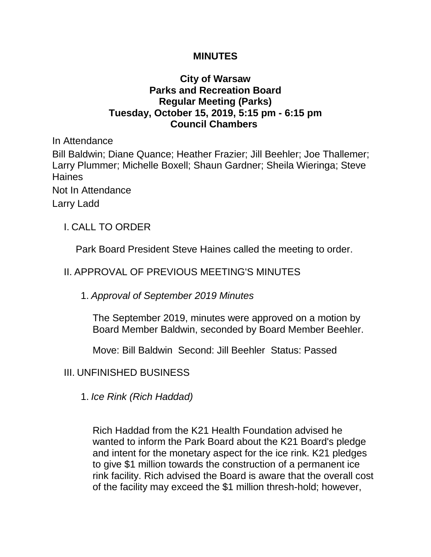#### **MINUTES**

### **City of Warsaw Parks and Recreation Board Regular Meeting (Parks) Tuesday, October 15, 2019, 5:15 pm - 6:15 pm Council Chambers**

In Attendance Bill Baldwin; Diane Quance; Heather Frazier; Jill Beehler; Joe Thallemer; Larry Plummer; Michelle Boxell; Shaun Gardner; Sheila Wieringa; Steve **Haines** Not In Attendance Larry Ladd

I. CALL TO ORDER

Park Board President Steve Haines called the meeting to order.

## II. APPROVAL OF PREVIOUS MEETING'S MINUTES

1. *Approval of September 2019 Minutes*

The September 2019, minutes were approved on a motion by Board Member Baldwin, seconded by Board Member Beehler.

Move: Bill Baldwin Second: Jill Beehler Status: Passed

#### III. UNFINISHED BUSINESS

1. *Ice Rink (Rich Haddad)*

Rich Haddad from the K21 Health Foundation advised he wanted to inform the Park Board about the K21 Board's pledge and intent for the monetary aspect for the ice rink. K21 pledges to give \$1 million towards the construction of a permanent ice rink facility. Rich advised the Board is aware that the overall cost of the facility may exceed the \$1 million thresh-hold; however,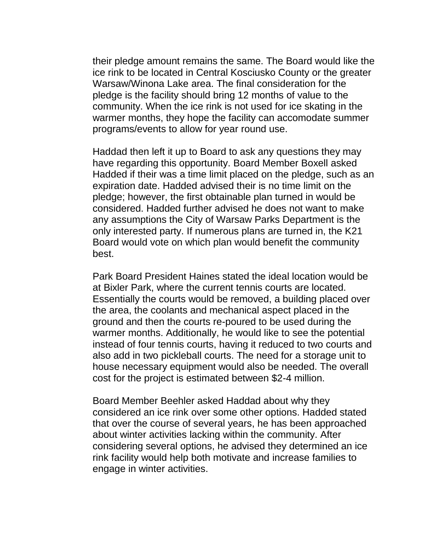their pledge amount remains the same. The Board would like the ice rink to be located in Central Kosciusko County or the greater Warsaw/Winona Lake area. The final consideration for the pledge is the facility should bring 12 months of value to the community. When the ice rink is not used for ice skating in the warmer months, they hope the facility can accomodate summer programs/events to allow for year round use.

Haddad then left it up to Board to ask any questions they may have regarding this opportunity. Board Member Boxell asked Hadded if their was a time limit placed on the pledge, such as an expiration date. Hadded advised their is no time limit on the pledge; however, the first obtainable plan turned in would be considered. Hadded further advised he does not want to make any assumptions the City of Warsaw Parks Department is the only interested party. If numerous plans are turned in, the K21 Board would vote on which plan would benefit the community best.

Park Board President Haines stated the ideal location would be at Bixler Park, where the current tennis courts are located. Essentially the courts would be removed, a building placed over the area, the coolants and mechanical aspect placed in the ground and then the courts re-poured to be used during the warmer months. Additionally, he would like to see the potential instead of four tennis courts, having it reduced to two courts and also add in two pickleball courts. The need for a storage unit to house necessary equipment would also be needed. The overall cost for the project is estimated between \$2-4 million.

Board Member Beehler asked Haddad about why they considered an ice rink over some other options. Hadded stated that over the course of several years, he has been approached about winter activities lacking within the community. After considering several options, he advised they determined an ice rink facility would help both motivate and increase families to engage in winter activities.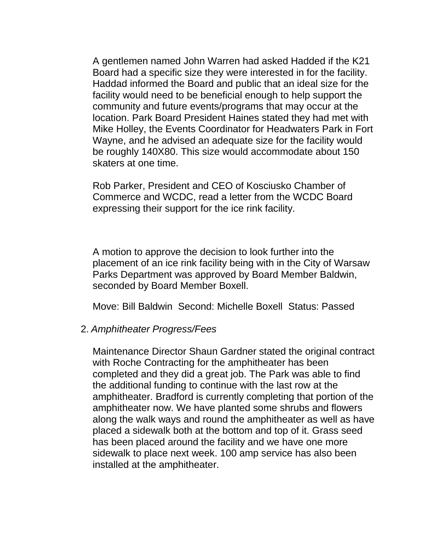A gentlemen named John Warren had asked Hadded if the K21 Board had a specific size they were interested in for the facility. Haddad informed the Board and public that an ideal size for the facility would need to be beneficial enough to help support the community and future events/programs that may occur at the location. Park Board President Haines stated they had met with Mike Holley, the Events Coordinator for Headwaters Park in Fort Wayne, and he advised an adequate size for the facility would be roughly 140X80. This size would accommodate about 150 skaters at one time.

Rob Parker, President and CEO of Kosciusko Chamber of Commerce and WCDC, read a letter from the WCDC Board expressing their support for the ice rink facility.

A motion to approve the decision to look further into the placement of an ice rink facility being with in the City of Warsaw Parks Department was approved by Board Member Baldwin, seconded by Board Member Boxell.

Move: Bill Baldwin Second: Michelle Boxell Status: Passed

#### 2. *Amphitheater Progress/Fees*

Maintenance Director Shaun Gardner stated the original contract with Roche Contracting for the amphitheater has been completed and they did a great job. The Park was able to find the additional funding to continue with the last row at the amphitheater. Bradford is currently completing that portion of the amphitheater now. We have planted some shrubs and flowers along the walk ways and round the amphitheater as well as have placed a sidewalk both at the bottom and top of it. Grass seed has been placed around the facility and we have one more sidewalk to place next week. 100 amp service has also been installed at the amphitheater.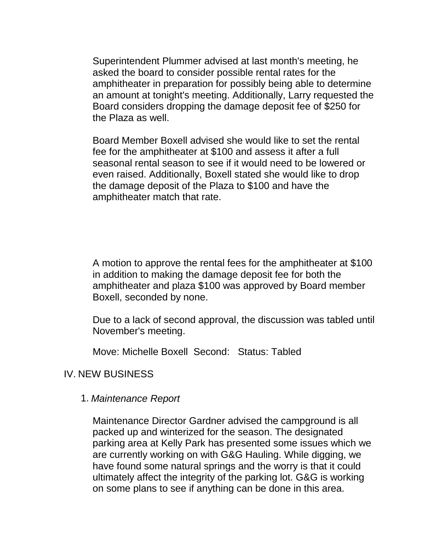Superintendent Plummer advised at last month's meeting, he asked the board to consider possible rental rates for the amphitheater in preparation for possibly being able to determine an amount at tonight's meeting. Additionally, Larry requested the Board considers dropping the damage deposit fee of \$250 for the Plaza as well.

Board Member Boxell advised she would like to set the rental fee for the amphitheater at \$100 and assess it after a full seasonal rental season to see if it would need to be lowered or even raised. Additionally, Boxell stated she would like to drop the damage deposit of the Plaza to \$100 and have the amphitheater match that rate.

A motion to approve the rental fees for the amphitheater at \$100 in addition to making the damage deposit fee for both the amphitheater and plaza \$100 was approved by Board member Boxell, seconded by none.

Due to a lack of second approval, the discussion was tabled until November's meeting.

Move: Michelle Boxell Second: Status: Tabled

#### IV. NEW BUSINESS

#### 1. *Maintenance Report*

Maintenance Director Gardner advised the campground is all packed up and winterized for the season. The designated parking area at Kelly Park has presented some issues which we are currently working on with G&G Hauling. While digging, we have found some natural springs and the worry is that it could ultimately affect the integrity of the parking lot. G&G is working on some plans to see if anything can be done in this area.